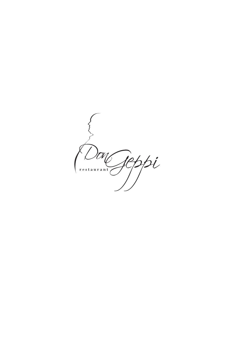Jeppi  $\left( \frac{1}{2} \right)$ ION,  $r e s t a u r a n t$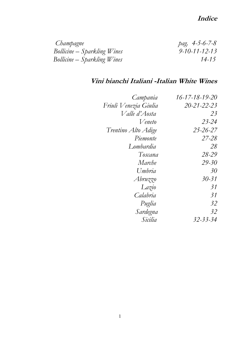# **Indice**

| Champagne                   | pag. $4 - 5 - 6 - 7 - 8$ |
|-----------------------------|--------------------------|
| Bollicine – Sparkling Wines | $9 - 10 - 11 - 12 - 13$  |
| Bollicine – Sparkling Wines | $14 - 15$                |

# **Vini bianchi Italiani -Italian White Wines**

| Campania              | $16 - 17 - 18 - 19 - 20$ |
|-----------------------|--------------------------|
| Friuli Venezia Giulia | $20 - 21 - 22 - 23$      |
| Valle d'Aosta         | 23                       |
| Veneto                | $23 - 24$                |
| Trentino Alto Adige   | $25 - 26 - 27$           |
| Piemonte              | $27 - 28$                |
| Lombardia             | 28                       |
| Toscana               | 28-29                    |
| Marche                | $29 - 30$                |
| Umbria                | 30                       |
| Abruzzo               | $30 - 31$                |
| Lazio                 | 31                       |
| Calabria              | 31                       |
| Puglia                | 32                       |
| Sardegna              | 32                       |
| Sicilia               | 32-33-34                 |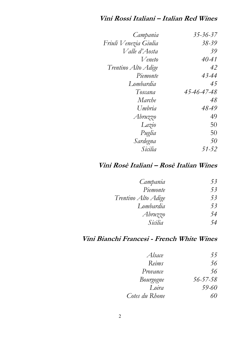# **Vini Rossi Italiani – Italian Red Wines**

| Campania              | 35-36-37    |
|-----------------------|-------------|
| Friuli Venezia Giulia | $38 - 39$   |
| Valle d'Aosta         | 39          |
| Veneto                | $40 - 41$   |
| Trentino Alto Adige   | 42          |
| Piemonte              | 43-44       |
| Lombardia             | 45          |
| Toscana               | 45-46-47-48 |
| Marche                | 48          |
| Umbria                | 48-49       |
| Abruzzo               | 49          |
| Lazio                 | 50          |
| Puglia                | 50          |
| Sardegna              | 50          |
| Sicilia               | $51 - 52$   |

# **Vini Rosè Italiani – Rosè Italian Wines**

| Campania            | 53 |
|---------------------|----|
| Piemonte            | 53 |
| Trentino Alto Adige | 53 |
| Lombardia           | 53 |
| Abruzzo             | 54 |
| Sicilia             | 54 |

# **Vini Bianchi Francesi - French White Wines**

| Alsace         | 55             |
|----------------|----------------|
| Reims          | 56             |
| Provance       | 56             |
| Bourgogne      | $56 - 57 - 58$ |
| Loira          | 59-60          |
| Cotes du Rhone | 60             |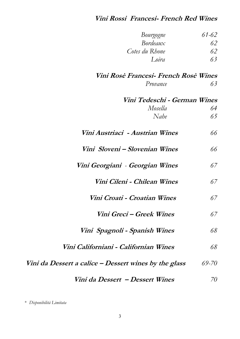# **Vini Rossi Francesi- French Red Wines**

*Bourgogne 61-62*

| Bordeaux                                              | 62    |
|-------------------------------------------------------|-------|
| Cotes du Rhone                                        | 62    |
| Loira                                                 | 63    |
| Vini Rosè Francesi- French Rosè Wines                 |       |
| Provance                                              | 63    |
| Vini Tedeschi - German Wines                          |       |
| Mosella                                               | 64    |
| Nahe                                                  | 65    |
| Vini Austriaci  - Austrian Wines                      | 66    |
| Vini Sloveni – Slovenian Wines                        | 66    |
| Vini Georgiani - Georgian Wines                       | 67    |
| Vini Cileni - Chilean Wines                           | 67    |
| Vini Croati - Croatian Wines                          | 67    |
| Vini Greci – Greek Wines                              | 67    |
| Vini Spagnoli - Spanish Wines                         | 68    |
| Vini Californiani - Californian Wines                 | 68    |
| Vini da Dessert a calice – Dessert wines by the glass | 69-70 |
|                                                       |       |

 **Vini da Dessert – Dessert Wines** *70*

\* *Disponibilità Limitata*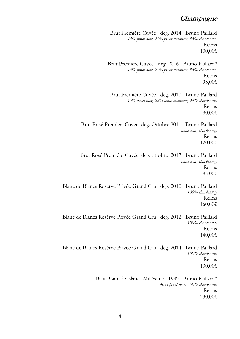# **Champagne**

Brut Premiére Cuvée deg. 2014 Bruno Paillard *45% pinot noir, 22% pinot meuniere, 33% chardonnay* Reims 100,00€

Brut Premiére Cuvée deg. 2016 Bruno Paillard\* *45% pinot noir, 22% pinot meuniere, 33% chardonnay* Reims 95,00€

Brut Premiére Cuvée deg. 2017 Bruno Paillard *45% pinot noir, 22% pinot meuniere, 33% chardonnay* Reims 90,00€

Brut Rosé Premiér Cuvée deg. Ottobre 2011 Bruno Paillard *pinot noir, chardonnay* Reims 120,00€

Brut Rosé Premiére Cuvée deg. ottobre 2017 Bruno Paillard *pinot noir, chardonnay* Reims 85,00€

Blanc de Blancs Resérve Privée Grand Cru deg. 2010 Bruno Paillard *100% chardonnay* Reims 160,00€

Blanc de Blancs Resérve Privée Grand Cru deg. 2012 Bruno Paillard *100% chardonnay* Reims 140,00€

Blanc de Blancs Resérve Privée Grand Cru deg. 2014 Bruno Paillard *100% chardonnay* Reims 130,00€

> Brut Blanc de Blancs Millésime 1999 Bruno Paillard\* *40% pinot noir, 60% chardonnay* Reims 230,00€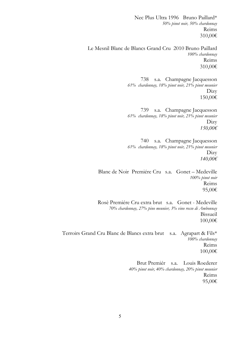Nec Plus Ultra 1996 Bruno Paillard\* *50% pinot noir, 50% chardonnay* Reims 310,00€

Le Mesnil Blanc de Blancs Grand Cru 2010 Bruno Paillard *100% chardonnay* Reims 310,00€

> 738 s.a. Champagne Jacquesson *61% chardonnay, 18% pinot noir, 21% pinot meunier* Dizy 150,00€

> 739 s.a. Champagne Jacquesson *61% chardonnay, 18% pinot noir, 21% pinot meunier*  Dizy *150,00€*

> 740 s.a. Champagne Jacquesson *61% chardonnay, 18% pinot noir, 21% pinot meunier*  Dizy *140,00€*

Blanc de Noir Premiére Cru s.a. Gonet – Medeville *100% pinot noir* Reims 95,00€

Rosè Premiére Cru extra brut s.a. Gonet - Medeville *70% chardonnay, 27% pino meunier, 3% vino rosso di Ambonnay*  Bissueil 100,00€

Terroirs Grand Cru Blanc de Blancs extra brut s.a. Agrapart & Fils\* *100% chardonnay* Reims 100,00€

> Brut Premiér s.a. Louis Roederer *40% pinot noir, 40% chardonnay, 20% pinot meunier* Reims 95,00€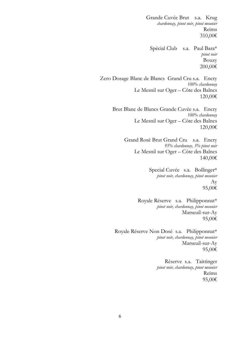Grande Cuvée Brut s.a. Krug *chardonnay, pinot noir, pinot meunier* Reims 310,00€

Spécial Club s.a. Paul Bara\* *pinot noir* Bouzy 200,00€

Zero Dosage Blanc de Blancs Grand Cru s.a. Encry *100% chardonnay* Le Mesnil sur Oger – Côte des Balncs 120,00€

> Brut Blanc de Blancs Grande Cuvée s.a. Encry *100% chardonnay* Le Mesnil sur Oger – Côte des Balncs 120,00€

> > Grand Rosé Brut Grand Cru s.a. Encry *95% chardonnay, 5% pinot noir* Le Mesnil sur Oger – Côte des Balncs 140,00€

> > > Special Cuvée s.a. Bollinger\* *pinot noir, chardonnay, pinot meunier* Ay 95,00€

Royale Réserve s.a. Philipponnat\* *pinot noir, chardonnay, pinot meunier* Marseuil-sur-Ay 95,00€

Royale Réserve Non Dosé s.a. Philipponnat\* *pinot noir, chardonnay, pinot meunier* Marseuil-sur-Ay 95,00€

> Réserve s.a. Taittinger *pinot noir, chardonnay, pinot meunier* Reims 95,00€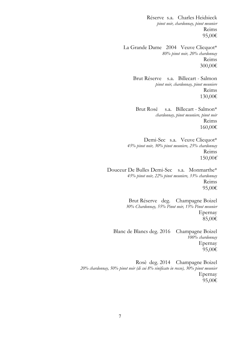Réserve s.a. Charles Heidsieck *pinot noir, chardonnay, pinot meunier* Reims 95,00€

La Grande Dame 2004 Veuve Clicquot\* *80% pinot noir, 20% chardonnay* Reims 300,00€

> Brut Réserve s.a. Billecart - Salmon *pinot noir, chardonnay, pinot meuniere* Reims 130,00€

Brut Rosé s.a. Billecart - Salmon\* *chardonnay, pinot meuniere, pinot noir* Reims 160,00€

Demi-Sec s.a. Veuve Clicquot\* *45% pinot noir, 30% pinot meuniere, 25% chardonnay* Reims 150,00*€*

Douceur De Bulles Demi-Sec s.a. Monmarthe\* *45% pinot noir, 22% pinot meuniere, 33% chardonnay* Reims 95,00€

> Brut Réserve deg. Champagne Boizel *30% Chardonnay, 55% Pinot noir, 15% Pinot meunier* Epernay 85,00€

Blanc de Blancs deg. 2016 Champagne Boizel *100% chardonnay* Epernay 95,00€

Rosè deg. 2014 Champagne Boizel *20% chardonnay, 50% pinot noir (di cui 8% vinificato in rosso), 30% pinot meunier* Epernay 95,00€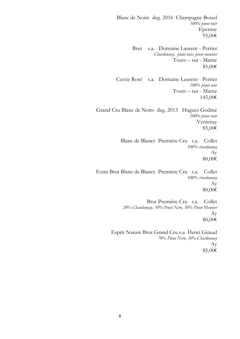Blanc de Noirs deg. 2016 Champagne Boizel *100% pinot noir* Epernay 95,00€

> Brut s.a. Domaine Laurent - Perrier *Chardonnay, pinot noir, pinot meunier* Tours – sur - Marne 85,00€

Cuvée Rosé s.a. Domaine Laurent - Perrier *100% pinot noir* Tours – sur - Marne 145,00€

Grand Cru Blanc de Noirs deg. 2013 Hugues Godmé *100% pinot noir* Verzenay 85,00€

> Blanc de Blancs Premiére Cru s.a. Collet *100% chardonnay* Ay 80,00€

Extra Brut Blanc de Blancs Premiére Cru s.a. Collet *100% chardonnay* Ay 80,00€

> Brut Premiére Cru s.a. Collet *20% Chardonnay, 30% Pinot Nero, 50% Pinot Meunier* Ay 80,00€

Esprit Nature Brut Grand Cru s.a Henri Giraud *70% Pinot Nero, 30% Chardonnay* Ay 85,00€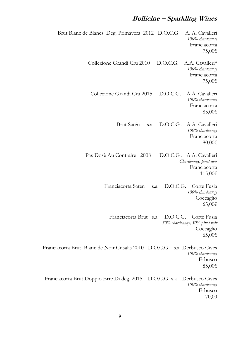# **Bollicine – Sparkling Wines**

Brut Blanc de Blancs Deg. Primavera 2012 D.O.C.G. A. A. Cavalleri *100% chardonnay* Franciacorta 75,00€ Collezione Grandi Cru 2010 D.O.C.G. A.A. Cavalleri\* *100% chardonnay* Franciacorta 75,00€ Collezione Grandi Cru 2015 D.O.C.G. A.A. Cavalleri *100% chardonnay* Franciacorta 85,00€ Brut Satén s.a. D.O.C.G . A.A. Cavalleri *100% chardonnay* Franciacorta 80,00€ Pas Dosè Au Contraire 2008 D.O.C.G . A.A. Cavalleri *Chardonnay, pinot noir* Franciacorta 115,00€ Franciacorta Saten s.a D.O.C.G. Corte Fusia *100% chardonnay* **Coccaglio** 65,00€ Franciacorta Brut s.a D.O.C.G. Corte Fusia *50% chardonnay, 50% pinot noir* **Coccaglio** 65,00€ Franciacorta Brut Blanc de Noir Crisalis 2010 D.O.C.G. s.a Derbusco Cives *100% chardonnay* Erbusco 85,00€ Franciacorta Brut Doppio Erre Di deg. 2015 D.O.C.G s.a . Derbusco Cives *100% chardonnay* Erbusco 70,00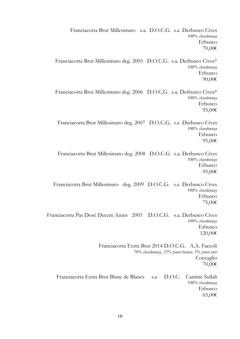Franciacorta Brut Millesimato s.a. D.O.C.G. s.a Derbusco Cives *100% chardonnay* Erbusco 70,00€ Franciacorta Brut Millesimato deg. 2005 D.O.C.G. s.a. Derbusco Cives\* *100% chardonnay* Erbusco 90,00€ Franciacorta Brut Millesimato deg. 2006 D.O.C.G. s.a. Derbusco Cives\* *100% chardonnay* Erbusco 95,00€ Franciacorta Brut Millesimato deg. 2007 D.O.C.G. s.a Derbusco Cives *100% chardonnay* Erbusco 95,00€ Franciacorta Brut Millesimato deg. 2008 D.O.C.G. s.a. Derbusco Cives *100% chardonnay* Erbusco 95,00€ Franciacorta Brut Millesimato deg. 2009 D.O.C.G. s.a Derbusco Cives *100% chardonnay* Erbusco 75,00€ Franciacorta Pas Dosé Decem Annis 2005 D.O.C.G. s.a. Derbusco Cives *100% chardonnay* Erbusco 120,00€ Franciacorta Extra Brut 2014 D.O.C.G. A.A. Faccoli *70% chardonnay, 25% pinot bianco, 5% pinot noir* **Coccaglio** 70,00€ Franciacorta Extra Brut Blanc de Blancs s.a D.O.C. Cantine Sullali *100% chardonnay* Erbusco 65,00€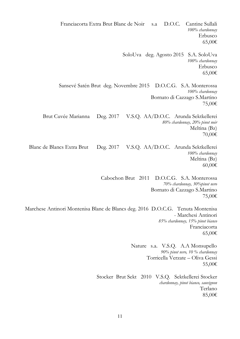11 Franciacorta Extra Brut Blanc de Noir s.a D.O.C. Cantine Sullali *100% chardonnay* Erbusco 65,00€ SoloUva deg. Agosto 2015 S.A. SoloUva *100% chardonnay* Erbusco 65,00€ Sansevé Satén Brut deg. Novembre 2015 D.O.C.G. S.A. Monterossa *100% chardonnay* Bornato di Cazzago S.Martino 75,00€ Brut Cuvée Marianna Deg. 2017 V.S.Q. AA/D.O.C. Arunda Sektkellerei *80% chardonnay, 20% pinot noir* Meltina (Bz) 70,00€ Blanc de Blancs Extra Brut Deg. 2017 V.S.Q. AA/D.O.C. Arunda Sektkellerei *100% chardonnay* Meltina (Bz) 60,00€ Cabochon Brut 2011 D.O.C.G. S.A. Monterossa *70% chardonnay, 30%pinot nero* Bornato di Cazzago S.Martino 75,00€ Marchese Antinori Montenisa Blanc de Blancs deg. 2016 D.O.C.G. Tenuta Montenisa - Marchesi Antinori *85% chardonnay, 15% pinot bianco* Franciacorta 65,00€ Nature s.a. V.S.Q. A.A Monsupello *90% pinot nero, 10 % chardonnay* Torricella Verzate – Oliva Gessi 55,00€ Stocker Brut Sekt 2010 V.S.Q. Sektkellerei Stocker *chardonnay, pinot bianco, sauvignon* Terlano 85,00€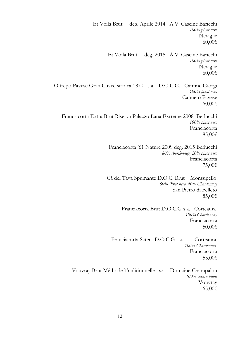Et Voilà Brut deg. Aprile 2014 A.V. Cascine Baricchi *100% pinot nero* Neviglie 60,00€ Et Voilà Brut deg. 2015 A.V. Cascine Baricchi *100% pinot nero* Neviglie 60,00€ Oltrepò Pavese Gran Cuvée storica 1870 s.a. D.O.C.G. Cantine Giorgi *100% pinot nero* Canneto Pavese 60,00€ Franciacorta Extra Brut Riserva Palazzo Lana Extreme 2008 Berlucchi *100% pinot nero* Franciacorta 85,00€ Franciacorta '61 Nature 2009 deg. 2015 Berlucchi *80% chardonnay, 20% pinot nero* Franciacorta 75,00€ Cà del Tava Spumante D.O.C. Brut Monsupello *60% Pinot nero, 40% Chardonnay* San Pietro di Felleto 85,00€ Franciacorta Brut D.O.C.G s.a. Corteaura *100% Chardonnay* Franciacorta 50,00€ Franciacorta Saten D.O.C.G s.a. Corteaura  *100% Chardonnay* Franciacorta 55,00€ Vouvray Brut Méthode Traditionnelle s.a. Domaine Champalou *100% chenin blanc* Vouvray 65,00€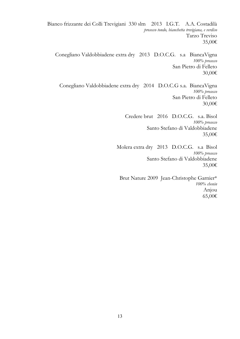Bianco frizzante dei Colli Trevigiani 330 slm 2013 I.G.T. A.A. Costadilà *prosecco tondo, bianchetta trevigiana, e verdiso* Tarzo Treviso 35,00€ Conegliano Valdobbiadene extra dry 2013 D.O.C.G. s.a BiancaVigna *100% prosecco* San Pietro di Felleto 30,00€ Conegliano Valdobbiadene extra dry 2014 D.O.C.G s.a. BiancaVigna *100% prosecco* San Pietro di Felleto 30,00€ Credere brut 2016 D.O.C.G. s.a. Bisol *100% prosecco* Santo Stefano di Valdobbiadene 35,00€ Molera extra dry 2013 D.O.C.G. s.a Bisol *100% prosecco* Santo Stefano di Valdobbiadene 35,00€ Brut Nature 2009 Jean-Christophe Garnier\* *100% chenin* Anjou

65,00€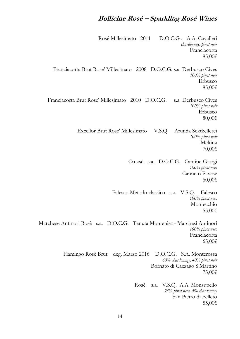# **Bollicine Rosé – Sparkling Rosé Wines**

Rosé Millesimato 2011 D.O.C.G . A.A. Cavalleri *chardonnay, pinot noir* Franciacorta 85,00€ Franciacorta Brut Rose' Millesimato 2008 D.O.C.G. s.a Derbusco Cives *100% pinot noir* Erbusco 85,00€ Franciacorta Brut Rose' Millesimato 2010 D.O.C.G. s.a Derbusco Cives *100% pinot noir* Erbusco 80,00€ Excellor Brut Rose' Millesimato V.S.Q Arunda Sektkellerei *100% pinot noir* Meltina 70,00€ Cruasè s.a. D.O.C.G. Cantine Giorgi *100% pinot nero* Canneto Pavese 60,00€ Falesco Metodo classico s.a. V.S.Q. Falesco *100% pinot nero* Montecchio 55,00€ Marchese Antinori Rosè s.a. D.O.C.G. Tenuta Montenisa - Marchesi Antinori *100% pinot nero* Franciacorta 65,00€ Flamingo Rosè Brut deg. Marzo 2016 D.O.C.G. S.A. Monterossa *60% chardonnay, 40% pinot noir* Bornato di Cazzago S.Martino 75,00€ Rosè s.a. V.S.Q. A.A. Monsupello *95% pinot nero, 5% chardonnay* San Pietro di Felleto 55,00€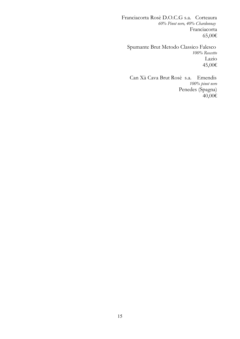Franciacorta Rosè D.O.C.G s.a. Corteaura *60% Pinot nero, 40% Chardonnay* Franciacorta 65,00€

 Spumante Brut Metodo Classico Falesco *100% Roscetto* Lazio 45,00€

 Can Xà Cava Brut Rosè s.a. Emendis  *100% pinot nero* Penedes (Spagna) 40,00€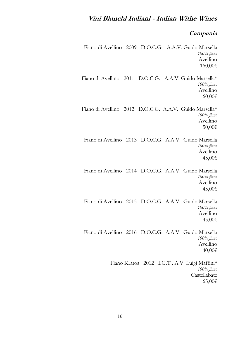# **Vini Bianchi Italiani - Italian Withe Wines**

#### **Campania**

Fiano di Avellino 2009 D.O.C.G. A.A.V. Guido Marsella *100% fiano* Avellino 160,00€ Fiano di Avellino 2011 D.O.C.G. A.A.V. Guido Marsella\* *100% fiano* Avellino 60,00€ Fiano di Avellino 2012 D.O.C.G. A.A.V. Guido Marsella\* *100% fiano* Avellino 50,00€ Fiano di Avellino 2013 D.O.C.G. A.A.V. Guido Marsella *100% fiano* Avellino 45,00€ Fiano di Avellino 2014 D.O.C.G. A.A.V. Guido Marsella *100% fiano* Avellino 45,00€ Fiano di Avellino 2015 D.O.C.G. A.A.V. Guido Marsella *100% fiano* Avellino 45,00€ Fiano di Avellino 2016 D.O.C.G. A.A.V. Guido Marsella *100% fiano* Avellino 40,00€ Fiano Kratos 2012 I.G.T . A.V. Luigi Maffini\* *100% fiano* Castellabate 65,00€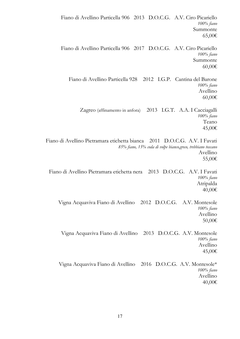Fiano di Avellino Particella 906 2013 D.O.C.G. A.V. Ciro Picariello *100% fiano* Summonte 65,00€ Fiano di Avellino Particella 906 2017 D.O.C.G. A.V. Ciro Picariello *100% fiano* Summonte 60,00€ Fiano di Avellino Particella 928 2012 I.G.P. Cantina del Barone *100% fiano* Avellino 60,00€ Zagreo (affinamento in anfora) 2013 I.G.T. A.A. I Cacciagalli *100% fiano* Teano 45,00€ Fiano di Avellino Pietramara etichetta bianca 2011 D.O.C.G. A.V. I Favati *85% fiano, 15% coda di volpe bianco,greco, trebbiano toscano* Avellino 55,00€ Fiano di Avellino Pietramara etichetta nera 2013 D.O.C.G. A.V. I Favati *100% fiano* Atripalda 40,00€ Vigna Acquaviva Fiano di Avellino 2012 D.O.C.G. A.V. Montesole *100% fiano* Avellino 50,00€ Vigna Acquaviva Fiano di Avellino 2013 D.O.C.G. A.V. Montesole *100% fiano* Avellino 45,00€ Vigna Acquaviva Fiano di Avellino 2016 D.O.C.G. A.V. Montesole\* *100% fiano* Avellino 40,00€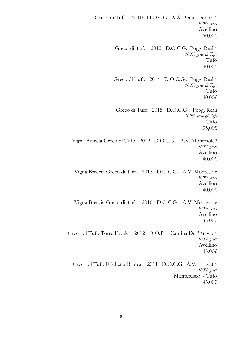Greco di Tufo 2010 D.O.C.G A.A. Benito Ferarra\* *100% greco* Avellino 60,00€ Greco di Tufo 2012 D.O.C.G. Poggi Reali\* *100% greco di Tufo* Tufo 40,00€ Greco di Tufo 2014 D.O.C.G . Poggi Reali\* *100% greco di Tufo* Tufo 40,00€ Greco di Tufo 2015 D.O.C.G . Poggi Reali *100% greco di Tufo* Tufo 35,00€ Vigna Breccia Greco di Tufo 2012 D.O.C.G. A.V. Montesole\* *100% greco* Avellino 40,00€ Vigna Breccia Greco di Tufo 2013 D.O.C.G. A.V. Montesole *100% greco* Avellino 40,00€ Vigna Breccia Greco di Tufo 2016 D.O.C.G. A.V. Montesole *100% greco* Avellino 35,00€ Greco di Tufo Torre Favale 2012 D.O.P. Cantina Dell'Angelo\* *100% greco* Avellino 45,00€ Greco di Tufo Etichetta Bianca 2011 D.O.C.G. A.V. I Favati\* *100% greco* Montefusco - Tufo 45,00€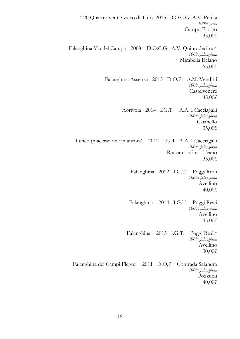4 20 Quattro venti Greco di Tufo 2015 D.O.C.G A.V. Petilia *100% greco* Campo Fiorito 35,00€ Falanghina Via del Campo 2008 D.O.C.G. A.V. Quintodecimo\* *100% falanghina* Mirabella Eclano 65,00€ Falanghina Assenza 2015 D.O.P. A.M. Venditti *100% falanghina* Castelvenere 45,00€ Aorivola 2014 I.G.T. A.A. I Cacciagalli *100% falanghina* Caianello 35,00€ Leneo (macerazione in anfora) 2012 I.G.T. A.A. I Cacciagalli *100% falanghina* Roccamonfina - Teano 35,00€ Falanghina 2012 I.G.T. Poggi Reali *100% falanghina* Avellino 40,00€ Falanghina 2014 I.G.T. Poggi Reali *100% falanghina* Avellino 35,00€ Falanghina 2015 I.G.T. Poggi Reali\* *100% falanghina* Avellino 30,00€ Falanghina dei Campi Flegrei 2011 D.O.P. Contrada Salandra *100% falanghina* Pozzuoli 40,00€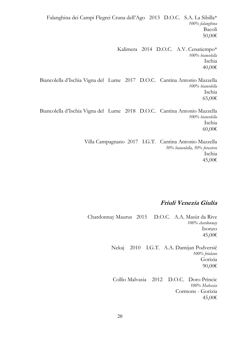Falanghina dei Campi Flegrei Cruna dell'Ago 2013 D.O.C. S.A. La Sibilla\* *100% falanghina* Bacoli 50,00€ Kalimera 2014 D.O.C. A.V. Cenatiempo\* *100% biancolella* Ischia 40,00€ Biancolella d'Ischia Vigna del Lume 2017 D.O.C. Cantina Antonio Mazzella *100% biancolella* Ischia 65,00€ Biancolella d'Ischia Vigna del Lume 2018 D.O.C. Cantina Antonio Mazzella *100% biancolella* Ischia 60,00€ Villa Campagnano 2017 I.G.T. Cantina Antonio Mazzella *50% biancolella, 50% forastera* Ischia

45,00€

### **Friuli Venezia Giulia**

Chardonnay Maurus 2015 D.O.C. A.A. Masùt da Rive *100% chardonnay* Isonzo 45,00€

> Nekaj 2010 I.G.T. A.A. Damijan Podversič *100% friulano* Gorizia 90,00€

Collio Malvasia 2012 D.O.C. Doro Princic *100% Malvasia* Cormons - Gorizia 45,00€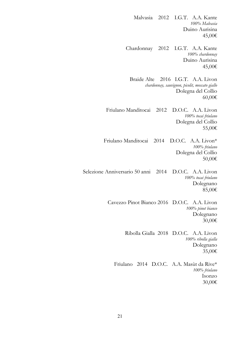Malvasia 2012 I.G.T. A.A. Kante *100% Malvasia* Duino Aurisina 45,00€ Chardonnay 2012 I.G.T. A.A. Kante *100% chardonnay* Duino Aurisina 45,00€ Braide Alte 2016 I.G.T. A.A. Livon *chardonnay, sauvignon, picolit, moscato giallo* Dolegna del Collio 60,00€ Friulano Manditocai 2012 D.O.C. A.A. Livon *100% tocai friulano* Dolegna del Collio 55,00€ Friulano Manditocai 2014 D.O.C. A.A. Livon\* *100% friulano* Dolegna del Collio 50,00€ Selezione Anniversario 50 anni 2014 D.O.C. A.A. Livon *100% tocai friulano* Dolegnano 85,00€ Cavezzo Pinot Bianco 2016 D.O.C. A.A. Livon *100% pinot bianco* Dolegnano 30,00€ Ribolla Gialla 2018 D.O.C. A.A. Livon *100% ribolla gialla* Dolegnano 35,00€ Friulano 2014 D.O.C. A.A. Masùt da Rive\* *100% friulano* Isonzo 30,00€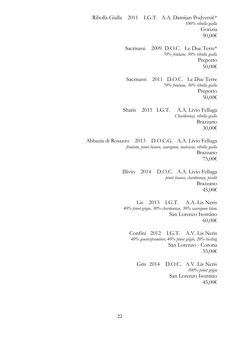Ribolla Gialla 2011 I.G.T. A.A. Damijan Podversič\* *100% ribolla gialla* Gorizia 90,00€

> Sacrisassi 2009 D.O.C. Le Due Terre\* *70% friulano, 30% ribolla gialla* Prepotto 50,00€

> Sacrisassi 2011 D.O.C. Le Due Terre *70% friulano, 30% ribolla gialla* Prepotto 50,00€

Sharis 2015 I.G.T. A.A. Livio Felluga *Chardonnay, ribolla gialla* Brazzano 30,00€

Abbazia di Rosazzo 2013 D.O.C.G. A.A. Livio Felluga *friulano, pinot bianco, sauvignon, malvasia, ribolla gialla* Brazzano 75,00€

> Illivio 2014 D.O.C. A.A. Livio Felluga *pinot bianco, chardonnay, picolit* Brazzano 45,00€

> Lis 2013 I.G.T. A.A. Lis Neris *40% pinot grigio, 30% chardonnay, 30% sauvignon blanc* San Lorenzo Isontino 60,00€

Confini 2012 I.G.T. A.V. Lis Neris *40% gewurztraminer, 40% pinot grigio, 20% riesling* San Lorenzo - Corona 55,00€

Gris 2014 D.O.C. A.V. Lis Neris *100% pinot grigio* San Lorenzo Isontino 45,00€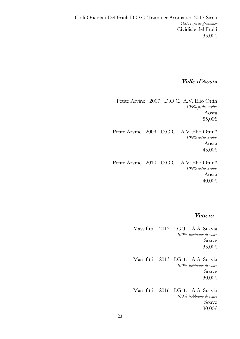## **Valle d'Aosta**

Petite Arvine 2007 D.O.C. A.V. Elio Ottin *100% petite arvine* Aosta 55,00€

Petite Arvine 2009 D.O.C. A.V. Elio Ottin\* *100% petite arvine* Aosta 45,00€

Petite Arvine 2010 D.O.C. A.V. Elio Ottin\* *100% petite arvine* Aosta 40,00€

### **Veneto**

Massifitti 2012 I.G.T. A.A. Suavia *100% trebbiano di soave* Soave 35,00€

Massifitti 2013 I.G.T. A.A. Suavia *100% trebbiano di soave* Soave 30,00€

Massifitti 2016 I.G.T. A.A. Suavia *100% trebbiano di soave* Soave 30,00€

23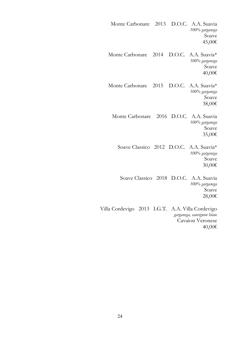Monte Carbonare 2013 D.O.C. A.A. Suavia *100% garganega* Soave 45,00€ Monte Carbonare 2014 D.O.C. A.A. Suavia\* *100% garganega* Soave 40,00€ Monte Carbonare 2015 D.O.C. A.A. Suavia\* *100% garganega* Soave 38,00€ Monte Carbonare 2016 D.O.C. A.A. Suavia *100% garganega* Soave 35,00€ Soave Classico 2012 D.O.C. A.A. Suavia\* *100% garganega* Soave 30,00€ Soave Classico 2018 D.O.C. A.A. Suavia *100% garganega* Soave 28,00€ Villa Cordevigo 2013 I.G.T. A.A. Villa Cordevigo *garganega, sauvignon blanc* Cavaion Veronese 40,00€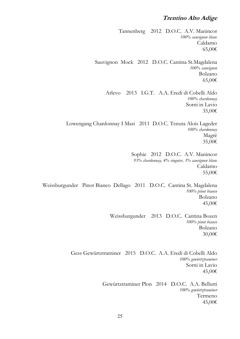## **Trentino Alto Adige**

Tannenberg 2012 D.O.C. A.V. Manincor *100% sauvignon blanc* Caldarno 65,00€ Sauvignon Mock 2012 D.O.C. Cantina St.Magdalena *100% sauvignon* Bolzano 65,00€ Arlevo 2013 I.G.T. A.A. Eredi di Cobelli Aldo *100% chardonnay* Sorni in Lavio 35,00€ Lowengang Chardonnay I Masi 2011 D.O.C. Tenuta Alois Lageder *100% chardonnay* Magrè 35,00€ Sophie 2012 D.O.C. A.V. Manincor *93% chardonnay, 4% viognier, 3% sauvignon blanc* Caldarno 55,00€ Weissburgunder Pinot Bianco Dellago 2011 D.O.C. Cantina St. Magdalena *100% pinot bianco* Bolzano 45,00€ Weissburgunder 2013 D.O.C. Cantina Bozen *100% pinot bianco* Bolzano 30,00€ Gess Gewürtztraminer 2015 D.O.C. A.A. Eredi di Cobelli Aldo *100% gewürtztraminer* Sorni in Lavio 45,00€

Gewürtztraminer Plon 2014 D.O.C. A.A. Bellutti *100% gewürtztraminer* Termeno 45,00€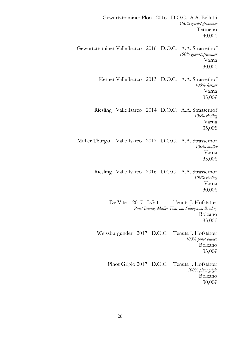Gewürtztraminer Plon 2016 D.O.C. A.A. Bellutti *100% gewürtztraminer* Termeno 40,00€ Gewürtztraminer Valle Isarco 2016 D.O.C. A.A. Strasserhof *100% gewürtztraminer* Varna 30,00€ Kerner Valle Isarco 2013 D.O.C. A.A. Strasserhof *100% kerner* Varna 35,00€ Riesling Valle Isarco 2014 D.O.C. A.A. Strasserhof *100% riesling* Varna 35,00€ Muller Thurgau Valle Isarco 2017 D.O.C. A.A. Strasserhof *100% muller* Varna 35,00€ Riesling Valle Isarco 2016 D.O.C. A.A. Strasserhof *100% riesling* Varna 30,00€ De Vite 2017 I.G.T. Tenuta J. Hofstätter *Pinot Bianco, Müller Thurgau, Sauvignon, Riesling* Bolzano 33,00€ Weissburgunder 2017 D.O.C. Tenuta J. Hofstätter *100% pinot bianco* Bolzano 33,00€ Pinot Grigio 2017 D.O.C. Tenuta J. Hofstätter *100% pinot grigio* Bolzano 30,00€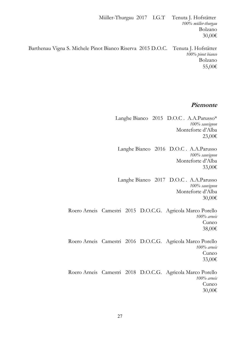Müller-Thurgau 2017 I.G.T Tenuta J. Hofstätter *100% müller-thurgau*  Bolzano 30,00€

 Barthenau Vigna S. Michele Pinot Bianco Riserva 2015 D.O.C. Tenuta J. Hofstätter *100% pinot bianco* Bolzano 55,00€

### **Piemonte**

- Langhe Bianco 2015 D.O.C . A.A.Parusso\* *100% sauvignon* Monteforte d'Alba 23,00€
	- Langhe Bianco 2016 D.O.C . A.A.Parusso *100% sauvignon* Monteforte d'Alba 33,00€
	- Langhe Bianco 2017 D.O.C . A.A.Parusso *100% sauvignon* Monteforte d'Alba 30,00€
- Roero Arneis Camestri 2015 D.O.C.G. Agricola Marco Porello *100% arneis* Cuneo 38,00€
- Roero Arneis Camestri 2016 D.O.C.G. Agricola Marco Porello *100% arneis* Cuneo 33,00€
- Roero Arneis Camestri 2018 D.O.C.G. Agricola Marco Porello *100% arneis* Cuneo 30,00€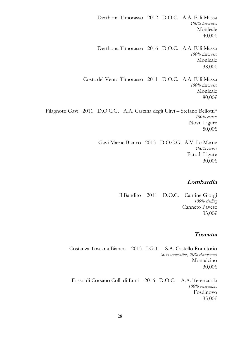Derthona Timorasso 2012 D.O.C. A.A. F.lli Massa *100% timorasso* Monleale 40,00€ Derthona Timorasso 2016 D.O.C. A.A. F.lli Massa *100% timorasso* Monleale 38,00€ Costa del Vento Timorasso 2011 D.O.C. A.A. F.lli Massa *100% timorasso* Monleale 80,00€ Filagnotti Gavi 2011 D.O.C.G. A.A. Cascina degli Ulivi – Stefano Bellotti\* *100% cortese* Novi Ligure 50,00€ Gavi Marne Bianco 2013 D.O.C.G. A.V. Le Marne *100% cortese*

Parodi Ligure 30,00€

#### **Lombardia**

Il Bandito 2011 D.O.C. Cantine Giorgi *100% riesling* Canneto Pavese 33,00€

#### **Toscana**

Costanza Toscana Bianco 2013 I.G.T. S.A. Castello Romitorio *80% vermentino, 20% chardonnay* Montalcino 30,00€

Fosso di Corsano Colli di Luni 2016 D.O.C. A.A. Terenzuola *100% vermentino* Fosdinovo 35,00€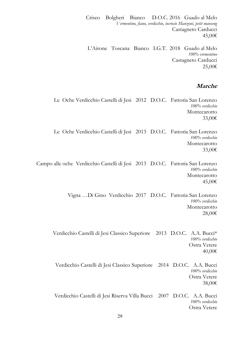Criseo Bolgheri Bianco D.O.C. 2016 Guado al Melo *Vermentino, fiano, verdicchio, incrocio Manzoni, petit manseng* Castagneto Carducci 45,00€

L'Airone Toscana Bianco I.G.T. 2018 Guado al Melo *100% vermentino* Castagneto Carducci 25,00€

#### **Marche**

Le Oche Verdicchio Castelli di Jesi 2012 D.O.C. Fattoria San Lorenzo *100% verdicchio* Montecarotto 33,00€

Le Oche Verdicchio Castelli di Jesi 2013 D.O.C. Fattoria San Lorenzo *100% verdicchio* Montecarotto 33,00€

Campo alle oche Verdicchio Castelli di Jesi 2013 D.O.C. Fattoria San Lorenzo *100% verdicchio* Montecarotto 45,00€

> Vigna …Di Gino Verdicchio 2017 D.O.C. Fattoria San Lorenzo *100% verdicchio* Montecarotto 28,00€

Verdicchio Castelli di Jesi Classico Superiore 2013 D.O.C. A.A. Bucci\* *100% verdicchio* Ostra Vetere 40,00€

Verdicchio Castelli di Jesi Classico Superiore 2014 D.O.C. A.A. Bucci *100% verdicchio* Ostra Vetere 38,00€

Verdicchio Castelli di Jesi Riserva Villa Bucci 2007 D.O.C. A.A. Bucci *100% verdicchio* Ostra Vetere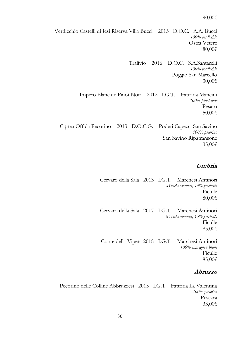#### 90,00€

Verdicchio Castelli di Jesi Riserva Villa Bucci 2013 D.O.C. A.A. Bucci *100% verdicchio* Ostra Vetere 80,00€

> Tralivio 2016 D.O.C. S.A.Santarelli *100% verdicchio* Poggio San Marcello 30,00€

Impero Blanc de Pinot Noir 2012 I.G.T. Fattoria Mancini *100% pinot noir* Pesaro 50,00€

Ciprea Offida Pecorino 2013 D.O.C.G. Poderi Capecci San Savino *100% pecorino* San Savino Ripatransone 35,00€

### **Umbria**

Cervaro della Sala 2013 I.G.T. Marchesi Antinori *85%chardonnay, 15% grechetto* Ficulle 80,00€

Cervaro della Sala 2017 I.G.T. Marchesi Antinori *85%chardonnay, 15% grechetto* Ficulle 85,00€

Conte della Vipera 2018 I.G.T. Marchesi Antinori *100% sauvignon blanc* Ficulle 85,00€

#### **Abruzzo**

Pecorino delle Colline Abbruzzesi 2015 I.G.T. Fattoria La Valentina *100% pecorino* Pescara 33,00€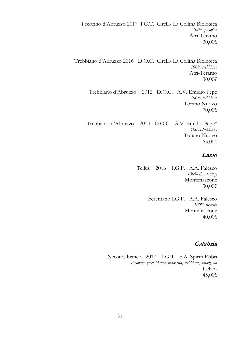Pecorino d'Abruzzo 2017 I.G.T. Cirelli- La Collina Biologica *100% pecorino* Atri-Teramo 30,00€

Trebbiano d'Abruzzo 2016 D.O.C. Cirelli- La Collina Biologica *100% trebbiano* Atri-Teramo 30,00€

> Trebbiano d'Abruzzo 2012 D.O.C. A.V. Emidio Pepe *100% trebbiano* Torano Nuovo 70,00€

Trebbiano d'Abruzzo 2014 D.O.C. A.V. Emidio Pepe\* *100% trebbiano* Torano Nuovo 65,00€

#### **Lazio**

Tellus 2016 I.G.P. A.A. Falesco *100% chardonnay* Montefiascone 30,00€

> Ferentano I.G.P. A.A. Falesco *100% roscetto* Montefiascone 40,00€

### **Calabria**

Neostòs bianco 2017 I.G.T. S.A. Spiriti Ebbri *Pecorello, greco bianco, malvasia, trebbiano, sauvignon* Celico 45,00€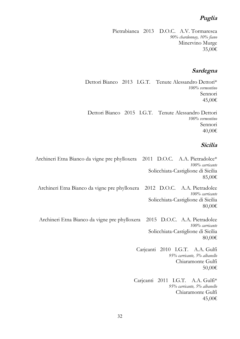## **Puglia**

Pietrabianca 2013 D.O.C. A.V. Tormaresca *90% chardonnay, 10% fiano* Minervino Murge 35,00€

### **Sardegna**

Dettori Bianco 2013 I.G.T. Tenute Alessandro Dettori\* *100% vermentino* Sennori 45,00€

Dettori Bianco 2015 I.G.T. Tenute Alessandro Dettori *100% vermentino* Sennori 40,00€

### **Sicilia**

Archineri Etna Bianco da vigne pre phylloxera 2011 D.O.C. A.A. Pietradolce\* *100% carricante* Solicchiata-Castiglione di Sicilia 85,00€

Archineri Etna Bianco da vigne pre phylloxera 2012 D.O.C. A.A. Pietradolce *100% carricante* Solicchiata-Castiglione di Sicilia 80,00€

Archineri Etna Bianco da vigne pre phylloxera 2015 D.O.C. A.A. Pietradolce *100% carricante* Solicchiata-Castiglione di Sicilia 80,00€

> Carjcanti 2010 I.G.T. A.A. Gulfi *95% carricante, 5% albanello* Chiaramonte Gulfi 50,00€

Carjcanti 2011 I.G.T. A.A. Gulfi\* *95% carricante, 5% albanello* Chiaramonte Gulfi 45,00€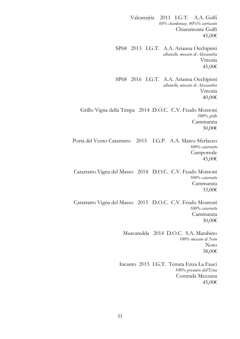Valcanzjria 2011 I.G.T. A.A. Gulfi *60% chardonnay, 40%% carricante* Chiaramonte Gulfi 45,00€ SP68 2013 I.G.T. A.A. Arianna Occhipinti *albanello, moscato di Alessandria* Vittoria 45,00€ SP68 2016 I.G.T. A.A. Arianna Occhipinti *albanello, moscato di Alessandria* Vittoria 40,00€ Grillo Vigna della Timpa 2014 D.O.C. C.V. Feudo Montoni *100% grillo* Cammarata 30,00€ Porta del Vento Catarratto 2015 I.G.P. A.A. Marco Sferlazzo *100% catarratto* Camporeale 45,00€ Catarratto Vigna del Masso 2014 D.O.C. C.V. Feudo Montoni *100% catarratto* Cammarata 33,00€ Catarratto Vigna del Masso 2015 D.O.C. C.V. Feudo Montoni *100% catarratto* Cammarata 30,00€ Muscatedda 2014 D.O.C. S.A. Marabino *100% moscato di Noto* Noto 38,00€ Incanto 2015 I.G.T. Tenuta Enza La Fauci *100% grecanico dell'Etna* Contrada Mezzana 45,00€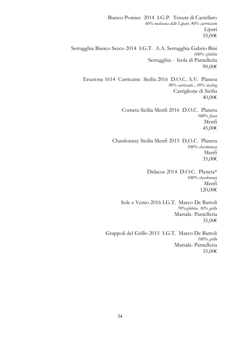Bianco Pomice 2014 I.G.P. Tenuta di Castellaro *60% malvasia delle Lipari, 40% carrricante* Lipari 55,00€ Serragghia Bianco Secco 2014 I.G.T. A.A. Serragghia Gabrio Bini *100% zibibbo* Serragghia - Isola di Pantelleria 90,00€ Eruzione 1614 Carricante Sicilia 2016 D.O.C. A.V. Planeta *90% carricante , 10% riesling* Castiglione di Sicilia 40,00€ Cometa Sicilia Menfi 2016 D.O.C. Planeta *100% fiano* Menfi 45,00€ Chardonnay Sicilia Menfi 2015 D.O.C. Planeta *100% chardonnay* Menfi 35,00€ Didacus 2014 D.O.C. Planeta\* *100% chardonnay* Menfi 120,00€ Sole e Vento 2016 I.G.T. Marco De Bartoli *70%zibibbo, 30% grillo*  Marsala- Pantelleria 35,00€ Grappoli del Grillo 2015 I.G.T. Marco De Bartoli *100% grillo*  Marsala- Pantelleria 35,00€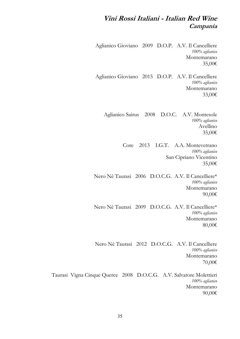# **Vini Rossi Italiani - Italian Red Wine Campania**

Aglianico Gioviano 2009 D.O.P. A.V. Il Cancelliere *100% aglianico* Montemarano 35,00€

Aglianico Gioviano 2015 D.O.P. A.V. Il Cancelliere *100% aglianico* Montemarano 33,00€

Aglianico Sairus 2008 D.O.C. A.V. Montesole *100% aglianico* Avellino 35,00€

> Core 2013 I.G.T. A.A. Montevetrano *100% aglianico* San Cipriano Vicentino 35,00€

Nero Nè Taurasi 2006 D.O.C.G. A.V. Il Cancelliere\* *100% aglianico* Montemarano 90,00€

Nero Nè Taurasi 2009 D.O.C.G. A.V. Il Cancelliere\* *100% aglianico* Montemarano 80,00€

Nero Nè Taurasi 2012 D.O.C.G. A.V. Il Cancelliere *100% aglianico* Montemarano 70,00€

Taurasi Vigna Cinque Querce 2008 D.O.C.G. A.V. Salvatore Molettieri *100% aglianico* Montemarano 90,00€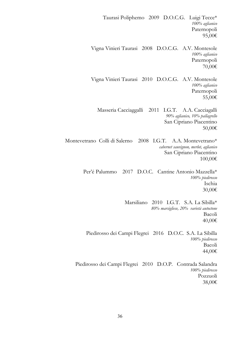Taurasi Poliphemo 2009 D.O.C.G. Luigi Tecce\* *100% aglianico* Paternopoli 95,00€ Vigna Vinieri Taurasi 2008 D.O.C.G. A.V. Montesole *100% aglianico* Paternopoli 70,00€ Vigna Vinieri Taurasi 2010 D.O.C.G. A.V. Montesole *100% aglianico* Paternopoli 55,00€ Masseria Cacciaggalli 2011 I.G.T. A.A. Cacciagalli *90% aglianico, 10% pallagrello* San Cipriano Piacentino 50,00€ Montevetrano Colli di Salerno 2008 I.G.T. A.A. Montevetrano\* *cabernet sauvignon, merlot, aglianico* San Cipriano Piacentino 100,00€ Per'é Palummo 2017 D.O.C. Cantine Antonio Mazzella\* *100% piedirosso* Ischia 30,00€ Marsiliano 2010 I.G.T. S.A. La Sibilla\* *80% marsigliese, 20% varietà autoctone* Bacoli 40,00€ Piedirosso dei Campi Flegrei 2016 D.O.C. S.A. La Sibilla *100% piedirosso* Bacoli 44,00€ Piedirosso dei Campi Flegrei 2010 D.O.P. Contrada Salandra *100% piedirosso* Pozzuoli 38,00€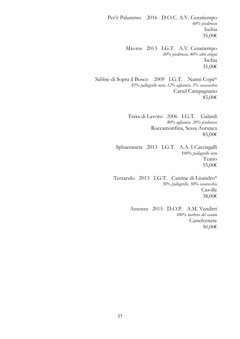Per'é Palummo 2016 D.O.C. A.V. Cenatiempo *60% piedirosso* Ischia 35,00€

> Màvros 2013 I.G.T. A.V. Cenatiempo *60% piedirosso, 40% altri vitigni* Ischia 35,00€

Sabbie di Sopra il Bosco 2009 I.G.T. Nanni Copè\* *85% pallagrello nero, 12% aglianico, 3% casavecchia* Castel Campagnano 85,00€

> Terra di Lavoro 2006 I.G.T. Galardi *80% aglianico, 20% piedirosso* Roccamonfina, Sessa Aurunca 85,00€

Sphaeranera 2013 I.G.T. A.A. I Cacciagalli *100% pallagrello nero* Teano 55,00€

Terzarulo 2013 I.G.T. Cantine di Lisandro\* *50% pallagrello, 50% casavecchia* Casolle 38,00€

> Assenza 2015 D.O.P. A.M. Venditti *100% barbera del sannio* Castelvenere 50,00€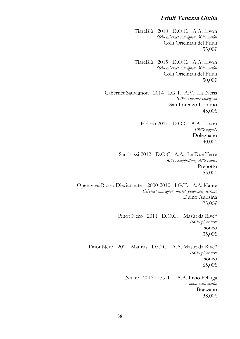#### **Friuli Venezia Giulia**

TiareBlù 2010 D.O.C. A.A. Livon *50% cabernet sauvignon, 50% merlot* Colli Orielntali del Friuli 55,00€

TiareBlù 2015 D.O.C. A.A. Livon *50% cabernet sauvignon, 50% merlot* Colli Orielntali del Friuli 50,00€

Cabernet Sauvignon 2014 I.G.T. A.V. Lis Neris *100% cabernet sauvignon* San Lorenzo Isontino 45,00€

> Eldoro 2011 D.O.C. A.A. Livon *100% pignolo* Dolegnano 40,00€

Sacrisassi 2012 D.O.C. A.A. Le Due Terre *50% schioppettino, 50% refosco* Prepotto 55,00€

Operaviva Rosso Dieciannate 2000-2010 I.G.T. A.A. Kante *Cebernet sauvignon, merlot, pinot noir, terrano* Duino Aurisina 75,00€

> Pinot Nero 2011 D.O.C. Masùt da Rive\* *100% pinot nero* Isonzo 35,00€

Pinot Nero 2011 Maurus D.O.C. A.A. Masùt da Rive\* *100% pinot nero* Isonzo 65,00€

> Nuarè 2013 I.G.T. A.A. Livio Felluga *pinot nero, merlot* Brazzano 38,00€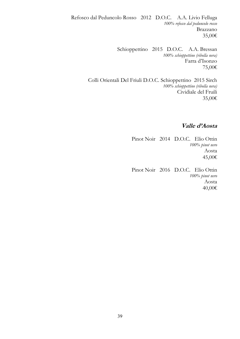Refosco dal Peduncolo Rosso 2012 D.O.C. A.A. Livio Felluga *100% refosco dal peduncolo rosso* Brazzano 35,00€

> Schioppettino 2015 D.O.C. A.A. Bressan *100% schioppettino (ribolla nera)* Farra d'Isonzo 75,00€

Colli Orientali Del Friuli D.O.C. Schioppettino 2015 Sirch *100% schioppettino (ribolla nera)* Cividiale del Fruili 35,00€

## **Valle d'Aosta**

Pinot Noir 2014 D.O.C. Elio Ottin *100% pinot nero* Aosta 45,00€

Pinot Noir 2016 D.O.C. Elio Ottin *100% pinot nero* Aosta 40,00€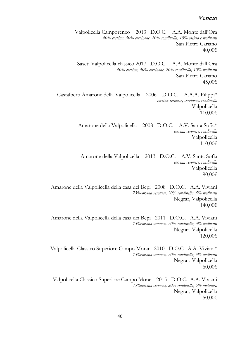#### **Veneto**

Valpolicella Camporenzo 2013 D.O.C. A.A. Monte dall'Ora *40% corvina, 30% corvinone, 20% rondinella, 10% oseleta e molinara* San Pietro Cariano 40,00€

Saseti Valpolicella classico 2017 D.O.C. A.A. Monte dall'Ora *40% corvina, 30% corvinone, 20% rondinella, 10% molinara* San Pietro Cariano 45,00€

Castalberti Amarone della Valpolicella 2006 D.O.C. A.A.A. Filippi\* *corvina veronese, corvinone, rondinella* Valpolicella 110,00€

> Amarone della Valpolicella 2008 D.O.C. A.V. Santa Sofia\* *corvina veronese, rondinella* Valpolicella 110,00€

Amarone della Valpolicella 2013 D.O.C. A.V. Santa Sofia *corvina veronese, rondinella* Valpolicella 90,00€

Amarone della Valpolicella della casa dei Bepi 2008 D.O.C. A.A. Viviani *75%corvina veronese, 20% rondinella, 5% molinara* Negrar, Valpolicella 140,00€

Amarone della Valpolicella della casa dei Bepi 2011 D.O.C. A.A. Viviani *75%corvina veronese, 20% rondinella, 5% molinara* Negrar, Valpolicella 120,00€

Valpolicella Classico Superiore Campo Morar 2010 D.O.C. A.A. Viviani\* *75%corvina veronese, 20% rondinella, 5% molinara* Negrar, Valpolicella 60,00€

Valpolicella Classico Superiore Campo Morar 2015 D.O.C. A.A. Viviani *75%corvina veronese, 20% rondinella, 5% molinara* Negrar, Valpolicella 50,00€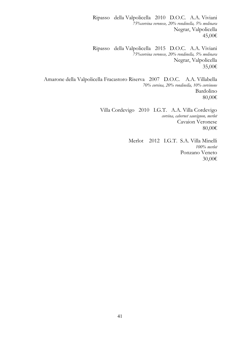Ripasso della Valpolicella 2010 D.O.C. A.A. Viviani *75%corvina veronese, 20% rondinella, 5% molinara* Negrar, Valpolicella 45,00€

Ripasso della Valpolicella 2015 D.O.C. A.A. Viviani *75%corvina veronese, 20% rondinella, 5% molinara* Negrar, Valpolicella 35,00€

Amarone della Valpolicella Fracastoro Riserva 2007 D.O.C. A.A. Villabella *70% corvina, 20% rondinella, 10% corvinone* Bardolino 80,00€

> Villa Cordevigo 2010 I.G.T. A.A. Villa Cordevigo *corvina, cabernet sauvignon, merlot* Cavaion Veronese 80,00€

> > Merlot 2012 I.G.T. S.A. Villa Minelli *100% merlot* Ponzano Veneto 30,00€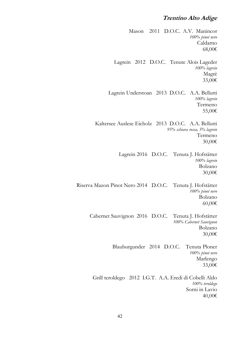## **Trentino Alto Adige**

Mason 2011 D.O.C. A.V. Manincor *100% pinot nero* Caldarno 68,00€ Lagrein 2012 D.O.C. Tenute Alois Lageder *100% lagrein* Magrè 33,00€ Lagrein Understoan 2013 D.O.C. A.A. Bellutti *100% lagrein* Termeno 55,00€ Kaltersee Auslese Eicholz 2013 D.O.C. A.A. Bellutti *95% schiava rossa, 5% lagrein* Termeno 30,00€ Lagrein 2016 D.O.C. Tenuta J. Hofstätter *100% lagrein* Bolzano 30,00€ Riserva Mazon Pinot Nero 2014 D.O.C. Tenuta J. Hofstätter *100% pinot nero* Bolzano 60,00€ Cabernet Sauvignon 2016 D.O.C. Tenuta J. Hofstätter *100% Cabernet Sauvignon*  Bolzano 30,00€ Blauburgunder 2014 D.O.C. Tenuta Ploner *100% pinot nero* Marlengo 33,00€ Grill teroldego 2012 I.G.T. A.A. Eredi di Cobelli Aldo *100% teroldego* Sorni in Lavio 40,00€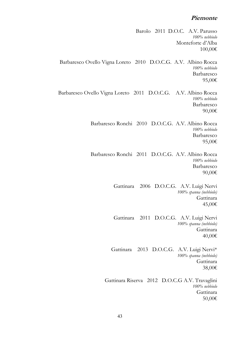#### **Piemonte**

Barolo 2011 D.O.C. A.V. Parusso *100% nebbiolo* Monteforte d'Alba 100,00€ Barbaresco Ovello Vigna Loreto 2010 D.O.C.G. A.V. Albino Rocca *100% nebbiolo* Barbaresco 95,00€ Barbaresco Ovello Vigna Loreto 2011 D.O.C.G. A.V. Albino Rocca *100% nebbiolo* Barbaresco 90,00€ Barbaresco Ronchi 2010 D.O.C.G. A.V. Albino Rocca *100% nebbiolo* Barbaresco 95,00€ Barbaresco Ronchi 2011 D.O.C.G. A.V. Albino Rocca *100% nebbiolo* Barbaresco 90,00€ Gattinara 2006 D.O.C.G. A.V. Luigi Nervi *100% spanna (nebbiolo)* Gattinara 45,00€ Gattinara 2011 D.O.C.G. A.V. Luigi Nervi *100% spanna (nebbiolo)* Gattinara 40,00€ Gattinara 2013 D.O.C.G. A.V. Luigi Nervi\* *100% spanna (nebbiolo)* Gattinara 38,00€ Gattinara Riserva 2012 D.O.C.G A.V. Travaglini *100% nebbiolo* Gattinara 50,00€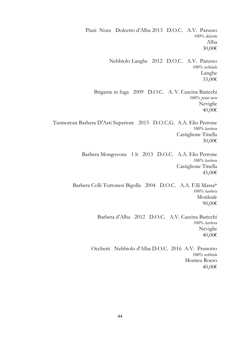Piani Noce Dolcetto d'Alba 2013 D.O.C. A.V. Parusso *100% dolcetto* Alba 30,00€ Nebbiolo Langhe 2012 D.O.C. A.V. Parusso *100% nebbiolo* Langhe 33,00€ Brigante in fuga 2009 D.O.C. A. V. Cascina Baricchi *100% pinot nero* Neviglie 40,00€ Tasmorcan Barbera D'Asti Superiore 2015 D.O.C.G. A.A. Elio Perrone *100% barbera* Castiglione Tinella 30,00€ Barbera Mongovone 1 lt 2013 D.O.C. A.A. Elio Perrone *100% barbera* Castiglione Tinella 45,00€ Barbera Colli Tortonesi Bigolla 2004 D.O.C. A.A. F.lli Massa\* *100% barbera* Monleale 90,00€ Barbera d'Alba 2012 D.O.C. A.V. Cascina Baricchi *100% barbera* Neviglie 40,00€ Occhetti Nebbiolo d'Alba D.O.C. 2016 A.V. Prunotto *100% nebbiolo* Monteu Roero 40,00€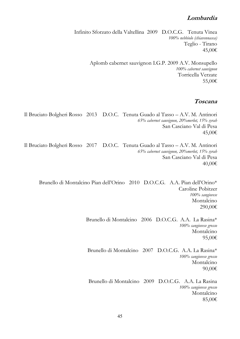### **Lombardia**

Infinito Sforzato della Valtellina 2009 D.O.C.G. Tenuta Vinea *100% nebbiolo (chiavennasca)* Teglio - Tirano 45,00€

> Aplomb cabernet sauvignon I.G.P. 2009 A.V. Monsupello *100% cabernet sauvignon* Torricella Verzate 55,00€

### **Toscana**

Il Bruciato Bolgheri Rosso 2013 D.O.C. Tenuta Guado al Tasso – A.V. M. Antinori *65% cabernet sauvignon, 20%merlot, 15% syrah* San Casciano Val di Pesa 45,00€

Il Bruciato Bolgheri Rosso 2017 D.O.C. Tenuta Guado al Tasso – A.V. M. Antinori *65% cabernet sauvignon, 20%merlot, 15% syrah* San Casciano Val di Pesa 40,00€

Brunello di Montalcino Pian dell'Orino 2010 D.O.C.G. A.A. Pian dell'Orino\* Caroline Pobitzer *100% sangiovese*  Montalcino 290,00€

> Brunello di Montalcino 2006 D.O.C.G. A.A. La Rasina\* *100% sangiovese grosso* Montalcino 95,00€

Brunello di Montalcino 2007 D.O.C.G. A.A. La Rasina\* *100% sangiovese grosso* Montalcino 90,00€

Brunello di Montalcino 2009 D.O.C.G. A.A. La Rasina *100% sangiovese grosso* Montalcino 85,00€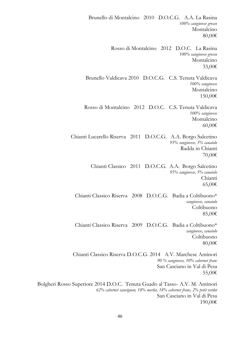Brunello di Montalcino 2010 D.O.C.G. A.A. La Rasina *100% sangiovese grosso* Montalcino 80,00€ Rosso di Montalcino 2012 D.O.C. La Rasina *100% sangiovese grosso* Montalcino 33,00€ Brunello Valdicava 2010 D.O.C.G. C.S. Tenuta Valdicava *100% sangiovese* Montalcino 150,00€ Rosso di Montalcino 2012 D.O.C. C.S. Tenuta Valdicava *100% sangiovese* Montalcino 60,00€ Chianti Lucarello Riserva 2011 D.O.C.G. A.A. Borgo Salcetino *95% sangiovese, 5% canaiolo* Radda in Chianti 70,00€ Chianti Classico 2011 D.O.C.G. A.A. Borgo Salcetino *95% sangiovese, 5% canaiolo* Chianti 65,00€ Chianti Classico Riserva 2008 D.O.C.G. Badia a Coltibuono\* *sangiovese, canaiolo* Coltibuono 85,00€ Chianti Classico Riserva 2009 D.O.C.G. Badia a Coltibuono\* *sangiovese, canaiolo* Coltibuono 80,00€ Chianti Classico Riserva D.O.C.G. 2014 A.V. Marchese Antinori *90 % sangiovese, 10% cabernet franc*  San Casciano in Val di Pesa 55,00€ Bolgheri Rosso Superiore 2014 D.O.C. Tenuta Guado al Tasso- A.V. M. Antinori

*62% cabernet sauvignon, 18% merlot, 18% cabernet franc, 2% petit verdot*  San Casciano in Val di Pesa 190,00€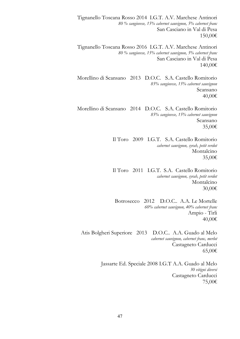Tignanello Toscana Rosso 2014 I.G.T. A.V. Marchese Antinori *80 % sangiovese, 15% cabernet sauvignon, 5% cabernet franc*  San Casciano in Val di Pesa 150,00€

Tignanello Toscana Rosso 2016 I.G.T. A.V. Marchese Antinori *80 % sangiovese, 15% cabernet sauvignon, 5% cabernet franc*  San Casciano in Val di Pesa 140,00€

Morellino di Scansano 2013 D.O.C. S.A. Castello Romitorio *85% sangiovese, 15% cabernet sauvignon* Scansano 40,00€

Morellino di Scansano 2014 D.O.C. S.A. Castello Romitorio *85% sangiovese, 15% cabernet sauvignon* Scansano 35,00€

> Il Toro 2009 I.G.T. S.A. Castello Romitorio *cabernet sauvignon, syrah, petit verdot* Montalcino 35,00€

> Il Toro 2011 I.G.T. S.A. Castello Romitorio *cabernet sauvignon, syrah, petit verdot* Montalcino 30,00€

Botrosecco 2012 D.O.C.. A.A. Le Mortelle *60% cabernet sauvignon, 40% cabernet franc* Ampio - Tirli 40,00€

Atis Bolgheri Superiore 2013 D.O.C.. A.A. Guado al Melo *cabernet sauvignon, cabernet franc, merlot* Castagneto Carducci 65,00€

> Jassarte Ed. Speciale 2008 I.G.T A.A. Guado al Melo *30 vitigni diversi* Castagneto Carducci 75,00€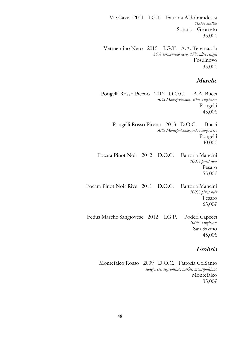Vie Cave 2011 I.G.T. Fattoria Aldobrandesca *100% malbèc* Sorano - Grosseto 35,00€

Vermentino Nero 2015 I.G.T. A.A. Terenzuola *85% vermentino nero, 15% altri vitigni* Fosdinovo 35,00€

## **Marche**

Pongelli Rosso Piceno 2012 D.O.C. A.A. Bucci *50% Montepulciano, 50% sangiovese* Pongelli 45,00€

> Pongelli Rosso Piceno 2013 D.O.C. Bucci *50% Montepulciano, 50% sangiovese* Pongelli 40,00€

Focara Pinot Noir 2012 D.O.C. Fattoria Mancini *100% pinot noir* Pesaro 55,00€

Focara Pinot Noir Rive 2011 D.O.C. Fattoria Mancini *100% pinot noir* Pesaro 65,00€

Fedus Marche Sangiovese 2012 I.G.P. Poderi Capecci *100% sangiovese* San Savino 45,00€

# **Umbria**

Montefalco Rosso 2009 D.O.C. Fattoria ColSanto *sangiovese, sagrantino, merlot, montepulciano* Montefalco 35,00€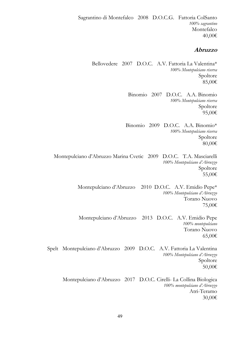Sagrantino di Montefalco 2008 D.O.C.G. Fattoria ColSanto *100% sagrantino* Montefalco 40,00€

#### **Abruzzo**

Bellovedere 2007 D.O.C. A.V. Fattoria La Valentina\* *100% Montepulciano riserva* Spoltore 85,00€

> Binomio 2007 D.O.C. A.A. Binomio *100% Montepulciano riserva* Spoltore 95,00€

Binomio 2009 D.O.C. A.A. Binomio\* *100% Montepulciano riserva* Spoltore 80,00€

Montepulciano d'Abruzzo Marina Cvetic 2009 D.O.C. T.A. Masciarelli *100% Montepulciano d'Abruzzo* Spoltore 55,00€

> Montepulciano d'Abruzzo 2010 D.O.C. A.V. Emidio Pepe\* *100% Montepulciano d'Abruzzo* Torano Nuovo 75,00€

> Montepulciano d'Abruzzo 2013 D.O.C. A.V. Emidio Pepe *100% montepulciano* Torano Nuovo 65,00€

Spelt Montepulciano d'Abruzzo 2009 D.O.C. A.V. Fattoria La Valentina *100% Montepulciano d'Abruzzo* Spoltore 50,00€

Montepulciano d'Abruzzo 2017 D.O.C. Cirelli- La Collina Biologica *100% montepulciano d'Abruzzo* Atri-Teramo 30,00€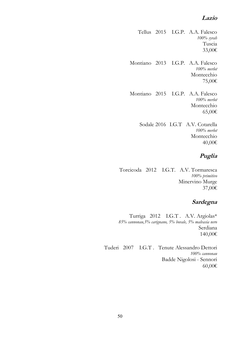## **Lazio**

Tellus 2015 I.G.P. A.A. Falesco *100% syrah* Tuscia 33,00€

Montiano 2013 I.G.P. A.A. Falesco *100% merlot* Montecchio 75,00€

Montiano 2015 I.G.P. A.A. Falesco *100% merlot* Montecchio 65,00€

> Sodale 2016 I.G.T A.V. Cotarella *100% merlot* Montecchio 40,00€

# **Puglia**

Torcicoda 2012 I.G.T. A.V. Tormaresca *100% primitivo* Minervino Murge 37,00€

# **Sardegna**

Turriga 2012 I.G.T . A.V. Argiolas\* *85% cannonau,5% carignano, 5% bovale, 5% malvasia nero* Serdiana 140,00€

Tuderi 2007 I.G.T . Tenute Alessandro Dettori *100% cannonau* Badde Nigolosi - Sennori 60,00€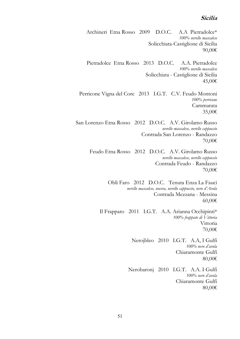#### **Sicilia**

Archineri Etna Rosso 2009 D.O.C. A.A Pietradolce\* *100% nerello mascalese* Solicchiata-Castiglione di Sicilia 90,00€

Pietradolce Etna Rosso 2013 D.O.C. A.A. Pietradolce *100% nerello mascalese* Solicchiata - Castiglione di Sicilia 45,00€

Perricone Vigna del Core 2013 I.G.T. C.V. Feudo Montoni *100% perricone* Cammarata 35,00€

San Lorenzo Etna Rosso 2012 D.O.C. A.V. Girolamo Russo *nerello mascalese, nerello cappuccio* Contrada San Lorenzo - Randazzo 70,00€

Feudo Etna Rosso 2012 D.O.C. A.V. Girolamo Russo *nerello mascalese, nerello cappuccio* Contrada Feudo - Randazzo 70,00€

> Oblì Faro 2012 D.O.C. Tenuta Enza La Fauci *nerello mascalese, nocera, nerello cappuccio, nero d'Avola* Contrada Mezzana - Messina 60,00€

Il Frappato 2011 I.G.T. A.A. Arianna Occhipinti\* *100% frappato di Vittoria* Vittoria 70,00€

> Nerojbleo 2010 I.G.T. A.A, I Gulfi *100% nero d'avola* Chiaramonte Gulfi 80,00€

Nerobaronj 2010 I.G.T. A.A. I Gulfi *100% nero d'avola* Chiaramonte Gulfi 80,00€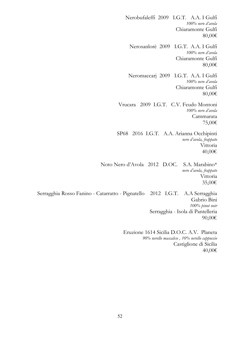Nerobufaleffi 2009 I.G.T. A.A. I Gulfi *100% nero d'avola* Chiaramonte Gulfi 80,00€ Nerosanlorè 2009 I.G.T. A.A. I Gulfi *100% nero d'avola* Chiaramonte Gulfi 80,00€ Neromaccarj 2009 I.G.T. A.A. I Gulfi *100% nero d'avola* Chiaramonte Gulfi 80,00€ Vrucara 2009 I.G.T. C.V. Feudo Montoni *100% nero d'avola* Cammarata 75,00€ SP68 2016 I.G.T. A.A. Arianna Occhipinti *nero d'avola, frappato* Vittoria 40,00€ Noto Nero d'Avola 2012 D.OC. S.A. Marabino\* *nero d'avola, frappato* Vittoria 35,00€ Serragghia Rosso Fanino - Catarratto - Pignatello 2012 I.G.T. A.A Serragghia Gabrio Bini *100% pinot noir* Serragghia - Isola di Pantelleria 90,00€ Eruzione 1614 Sicilia D.O.C. A.V. Planeta *90% nerello mascalese , 10% nerello cappuccio*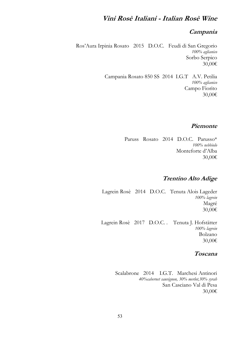# **Vini Rosè Italiani - Italian Rosè Wine**

### **Campania**

 Ros'Aura Irpinia Rosato 2015 D.O.C. Feudi di San Gregorio *100% aglianico* Sorbo Serpico 30,00€

> Campania Rosato 850 SS 2014 I.G.T A.V. Petilia *100% aglianico* Campo Fiorito 30,00€

### **Piemonte**

Paruss Rosato 2014 D.O.C. Parusso\* *100% nebbiolo* Monteforte d'Alba 30,00€

### **Trentino Alto Adige**

Lagrein Rosè 2014 D.O.C. Tenuta Alois Lageder *100% lagrein* Magré 30,00€

Lagrein Rosè 2017 D.O.C. . Tenuta J. Hofstätter *100% lagrein* Bolzano 30,00€

#### **Toscana**

Scalabrone 2014 I.G.T. Marchesi Antinori *40%cabernet sauvignon, 30% merlot,30% syrah* San Casciano Val di Pesa 30,00€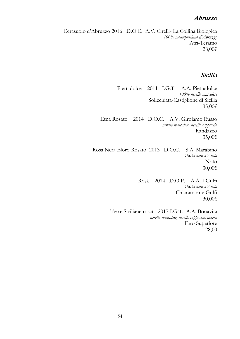#### **Abruzzo**

Cerasuolo d'Abruzzo 2016 D.O.C. A.V. Cirelli- La Collina Biologica *100% montepulciano d'Abruzzo* Atri-Teramo 28,00€

#### **Sicilia**

Pietradolce 2011 I.G.T. A.A. Pietradolce *100% nerello mascalese* Solicchiata-Castiglione di Sicilia 35,00€

Etna Rosato 2014 D.O.C. A.V. Girolamo Russo *nerello mascalese, nerello cappuccio* Randazzo 35,00€

Rosa Nera Eloro Rosato 2013 D.O.C. S.A. Marabino *100% nero d'Avola* Noto 30,00€

> Rosà 2014 D.O.P. A.A. I Gulfi *100% nero d'Avola* Chiaramonte Gulfi 30,00€

Terre Siciliane rosato 2017 I.G.T. A.A. Bonavita *nerello mascalese, nerello cappuccio, nocera* Faro Superiore 28,00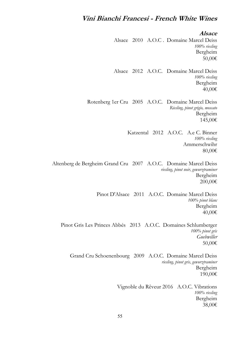# **Vini Bianchi Francesi - French White Wines**

**Alsace**

Alsace 2010 A.O.C . Domaine Marcel Deiss *100% riesling* Bergheim 50,00€

Alsace 2012 A.O.C. Domaine Marcel Deiss *100% riesling* Bergheim 40,00€

Rotenberg 1er Cru 2005 A.O.C. Domaine Marcel Deiss *Riesling, pinot grigio, moscato* Bergheim 145,00€

> Katzental 2012 A.O.C. A.e C. Binner *100% riesling* Ammerschwihr 80,00€

Altenberg de Bergheim Grand Cru 2007 A.O.C. Domaine Marcel Deiss *riesling, pinot noir, gewurztraminer* Bergheim 200,00€

> Pinot D'Alsace 2011 A.O.C. Domaine Marcel Deiss *100% pinot blanc* Bergheim 40,00€

Pinot Gris Les Princes Abbés 2013 A.O.C. Domaines Schlumberger *100% pinot gris Guebwiller* 50,00€

Grand Cru Schoenenbourg 2009 A.O.C. Domaine Marcel Deiss *riesling, pinot gris, gewurztraminer* Bergheim 190,00€

> Vignoble du Rêveur 2016 A.O.C. Vibrations *100% riesling* Bergheim 38,00€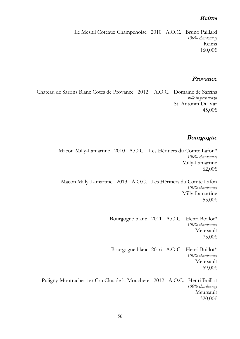#### **Reims**

Le Mesnil Coteaux Champenoise 2010 A.O.C. Bruno Paillard *100% chardonnay* Reims 160,00€

#### **Provance**

Chateau de Sarrins Blanc Cotes de Provance 2012 A.O.C. Domaine de Sarrins *rolle in prevalenza* St. Antonin Du Var 45,00€

#### **Bourgogne**

Macon Milly-Lamartine 2010 A.O.C. Les Héritiers du Comte Lafon\* *100% chardonnay* Milly-Lamartine 62,00€

Macon Milly-Lamartine 2013 A.O.C. Les Héritiers du Comte Lafon *100% chardonnay* Milly-Lamartine 55,00€

> Bourgogne blanc 2011 A.O.C. Henri Boillot\* *100% chardonnay* Meursault 75,00€

Bourgogne blanc 2016 A.O.C. Henri Boillot\* *100% chardonnay* Meursault 69,00€

Puligny-Montrachet 1er Cru Clos de la Mouchere 2012 A.O.C. Henri Boillot *100% chardonnay* Meursault 320,00€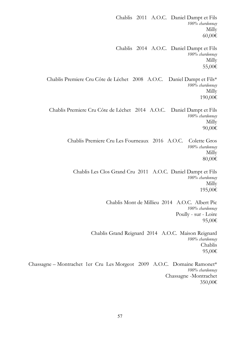Chablis 2011 A.O.C. Daniel Dampt et Fils *100% chardonnay* Milly 60,00€ Chablis 2014 A.O.C. Daniel Dampt et Fils *100% chardonnay* Milly 55,00€ Chablis Premiere Cru Côte de Léchet 2008 A.O.C. Daniel Dampt et Fils\* *100% chardonnay* Milly 190,00€ Chablis Premiere Cru Côte de Léchet 2014 A.O.C. Daniel Dampt et Fils *100% chardonnay* Milly 90,00€ Chablis Premiere Cru Les Fourneaux 2016 A.O.C. Colette Gros *100% chardonnay* Milly 80,00€ Chablis Les Clos Grand Cru 2011 A.O.C. Daniel Dampt et Fils *100% chardonnay* Milly 195,00€ Chablis Mont de Millieu 2014 A.O.C. Albert Pic *100% chardonnay* Poully - sur - Loire 95,00€ Chablis Grand Reignard 2014 A.O.C. Maison Reignard *100% chardonnay* Chablis 95,00€ Chassagne – Montrachet 1er Cru Les Morgeot 2009 A.O.C. Domaine Ramonet\* *100% chardonnay* Chassagne -Montrachet

350,00€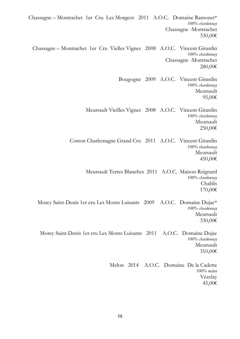Chassagne – Montrachet 1er Cru Les Morgeot 2011 A.O.C. Domaine Ramonet\* *100% chardonnay* Chassagne -Montrachet 330,00€ Chassagne – Montrachet 1er Cru Vielles Vignes 2008 A.O.C. Vincent Girardin *100% chardonnay* Chassagne -Montrachet 280,00€ Bougogne 2009 A.O.C. Vincent Girardin *100% chardonnay* Meursault 95,00€ Meursault Vieilles Vignes 2008 A.O.C. Vincent Girardin *100% chardonnay* Meursault 250,00€ Corton Charlemagne Grand Cru 2011 A.O.C. Vincent Girardin *100% chardonnay* Meursault 450,00€ Meursault Terres Blanches 2011 A.O.C. Maison Reignard *100% chardonnay* Chablis 170,00€ Morey Saint-Denis 1er cru Les Monts Luisants 2009 A.O.C. Domaine Dujac\* *100% chardonnay* Meursault 330,00€ Morey Saint-Denis 1er cru Les Monts Luisants 2011 A.O.C. Domaine Dujac *100% chardonnay* Meursault 310,00€ Melon 2014 A.O.C. Domaine De la Cadette *100% melon* Vézelay 45,00€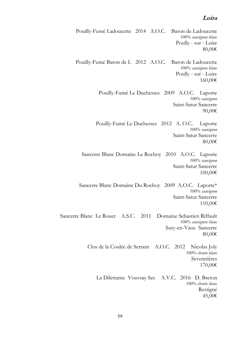#### **Loira**

Pouilly-Fumé Ladoucette 2014 A.O.C. Baron de Ladoucette *100% sauvignon blanc* Poully - sur - Loire 80,00€ Pouilly-Fumé Baron de L 2012 A.O.C. Baron de Ladoucette *100% sauvignon blanc* Poully - sur - Loire 160,00€ Pouilly-Fumé Le Duchesses 2009 A.O.C. Laporte *100% sauvignon* Saint-Satur Sancerre 90,00€ Pouilly-Fumé Le Duchesses 2012 A. O.C. Laporte *100% sauvignon* Saint-Satur Sancerre 80,00€ Sancerre Blanc Domaine Le Rochoy 2010 A.O.C. Laporte *100% sauvignon* Saint-Satur Sancerre 100,00€ Sancerre Blanc Domaine Du Rochoy 2009 A.O.C. Laporte\* *100% sauvignon* Saint-Satur Sancerre 110,00€ Sancerre Blanc Le Rouet A.S.C. 2011 Domaine Sebastien Riffault *100% sauvignon blanc* Sury-en-Vaux Sancerre 80,00€ Clos de la Coulée de Serrant A.O.C. 2012 Nicolas Joly *100% chenin blanc* Sevennières 170,00€ La Dilettante Vouvray Sec A.V.C. 2016 D. Breton *100% chenin blanc* Restigné 45,00€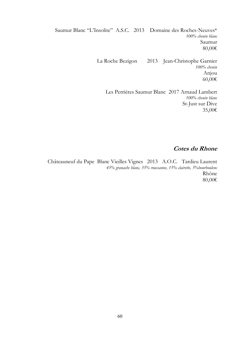Saumur Blanc "L'Insolite" A.S.C. 2013 Domaine des Roches-Neuves\* *100% chenin blanc* Saumur 80,00€ La Roche Bezigon 2013 Jean-Christophe Garnier *100% chenin* Anjou 60,00€ Les Perrières Saumur Blanc 2017 Arnaud Lambert

*100% chenin blanc* St-Just sur Dive 35,00€

### **Cotes du Rhone**

Châteauneuf du Pape Blanc Vieilles Vignes 2013 A.O.C. Tardieu Laurent *45% granache blanc, 35% roussanne, 15% clairette, 5%bourboulenc* Rhône 80,00€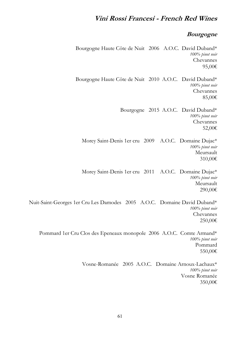# **Vini Rossi Francesi - French Red Wines**

### **Bourgogne**

Bourgogne Haute Côte de Nuit 2006 A.O.C. David Duband\* *100% pinot noir* Chevannes 95,00€ Bourgogne Haute Côte de Nuit 2010 A.O.C. David Duband\* *100% pinot noir* Chevannes 85,00€ Bourgogne 2015 A.O.C. David Duband\* *100% pinot noir* Chevannes 52,00€ Morey Saint-Denis 1er cru 2009 A.O.C. Domaine Dujac\* *100% pinot noir* Meursault 310,00€ Morey Saint-Denis 1er cru 2011 A.O.C. Domaine Dujac\* *100% pinot noir* Meursault 290,00€ Nuit-Saint-Georges 1er Cru Les Damodes 2005 A.O.C. Domaine David Duband\* *100% pinot noir* Chevannes 250,00€ Pommard 1er Cru Clos des Epeneaux monopole 2006 A.O.C. Comte Armand\* *100% pinot noir* Pommard 550,00€ Vosne-Romanée 2005 A.O.C. Domaine Arnoux-Lachaux\* *100% pinot noir* Vosne Romanée

350,00€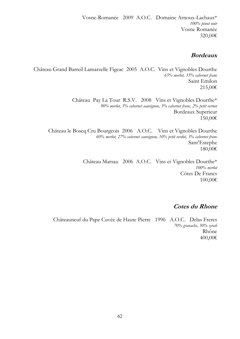## **Bordeaux**

Château Grand Barreil Lamarzelle Figeac 2005 A.O.C. Vins et Vignobles Dourthe *65% merlot, 35% cabernet franc* Saint Emilon 215,00€

> Château Pay La Tour R.S.V. 2008 Vins et Vignobles Dourthe\* *90% merlot, 5% cabernet sauvignon, 3% cabernet franc, 2% petit vernot* Bordeaux Superieur 150,00€

Château le Boscq Cru Bourgeois 2006 A.O.C. Vins et Vignobles Dourthe *60% merlot, 27% cabernet sauvignon, 10% petit verdot, 3% cabernet franc* Sant'Estephe 180,00€

> Château Marsau 2006 A.O.C. Vins et Vignobles Dourthe\* *100% merlot* Côtes De Francs 100,00€

# **Cotes du Rhone**

Châteauneuf du Pape Cuvée de Haute Pierre 1996 A.O.C. Delas Freres *70% granache, 30% syrah* Rhône 400,00€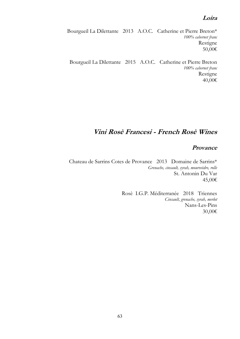### **Loira**

Bourgueil La Dilettante 2013 A.O.C. Catherine et Pierre Breton\* *100% cabernet franc* Restigne 50,00€

Bourgueil La Dilettante 2015 A.O.C. Catherine et Pierre Breton *100% cabernet franc* Restigne 40,00€

# **Vini Rosè Francesi - French Rosè Wines**

#### **Provance**

Chateau de Sarrins Cotes de Provance 2013 Domaine de Sarrins\* *Grenache, cinsault, syrah, mourveèdre, rolle*  St. Antonin Du Var 45,00€

> Rosè I.G.P. Méditerranée 2018 Triennes *Cinsault, grenache, syrah, merlot* Nans-Les-Pins 30,00€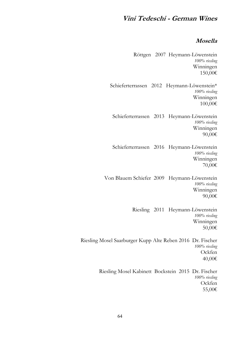# **Vini Tedeschi - German Wines**

### **Mosella**

Röttgen 2007 Heymann-Löwenstein *100% riesling* Winningen 150,00€ Schieferterrassen 2012 Heymann-Löwenstein\* *100% riesling* Winningen 100,00€ Schieferterrassen 2013 Heymann-Löwenstein *100% riesling* Winningen 90,00€ Schieferterrassen 2016 Heymann-Löwenstein *100% riesling* Winningen 70,00€ Von Blauem Schiefer 2009 Heymann-Löwenstein *100% riesling* Winningen 90,00€ Riesling 2011 Heymann-Löwenstein *100% riesling* Winningen 50,00€ Riesling Mosel Saarburger Kupp Alte Reben 2016 Dr. Fischer *100% riesling* Ockfen 40,00€ Riesling Mosel Kabinett Bockstein 2015 Dr. Fischer *100% riesling* **Ockfen** 55,00€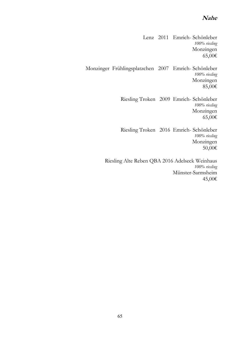### **Nahe**

Lenz 2011 Emrich- Schönleber *100% riesling* Monzingen 65,00€ Monzinger Frühlingsplatzchen 2007 Emrich- Schönleber *100% riesling* Monzingen 85,00€ Riesling Troken 2009 Emrich- Schönleber *100% riesling* Monzingen 65,00€ Riesling Troken 2016 Emrich- Schönleber *100% riesling* Monzingen 50,00€ Riesling Alte Reben QBA 2016 Adelseck Weinhaus *100% riesling* Münster-Sarmsheim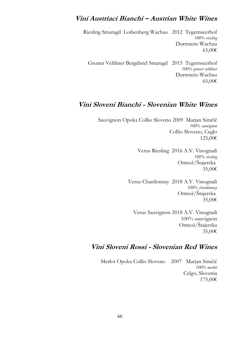# **Vini Austriaci Bianchi – Austrian White Wines**

Riesling Smaragd Loibenberg Wachau 2012 Tegernseerhof *100% riesling* Durnstein-Wachau 65,00€

Gruner Veltliner Bergdistel Smaragd 2015 Tegernseerhof *100% gruner veltliner* Durnstein-Wachau 65,00€

# **Vini Sloveni Bianchi - Slovenian White Wines**

Sauvignon Opoka Collio Sloveno 2009 Marjan Simčič *100% sauvignon* Collio Sloveno, Ceglo 125,00€

> Verus Riesling 2016 A.V. Vinogradi *100% riesling* Ormož/Štajerska 35,00€

Verus Chardonnay 2018 A.V. Vinogradi *100% chardonnay* Ormož/Štajerska 35,00€

Verus Sauvignon 2018 A.V. Vinogradi 100% sauvignon Ormož/Štajerska 35,00€

# **Vini Sloveni Rossi - Slovenian Red Wines**

Merlot Opoka Collio Sloveno 2007 Marjan Simčič *100% merlot* Celgo, Slovenia 175,00€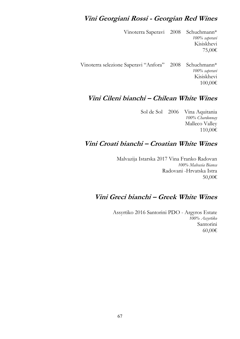# **Vini Georgiani Rossi - Georgian Red Wines**

Vinoterra Saperavi 2008 Schuchmann\* *100% saperavi* Kisiskhevi 75,00€ Vinoterra selezione Saperavi "Anfora" 2008 Schuchmann\* *100% saperavi* Kisiskhevi

# **Vini Cileni bianchi – Chilean White Wines**

Sol de Sol 2006 Vina Aquitania *100% Chardonnay* Malleco Valley 110,00€

100,00€

# **Vini Croati bianchi – Croatian White Wines**

Malvazija Istarska 2017 Vina Franko Radovan *100% Malvasia Bianca* Radovani -Hrvatska Istra 50,00€

# **Vini Greci bianchi – Greek White Wines**

Assyrtiko 2016 Santorini PDO - Argyros Estate *100% Assyrtiko* Santorini 60,00€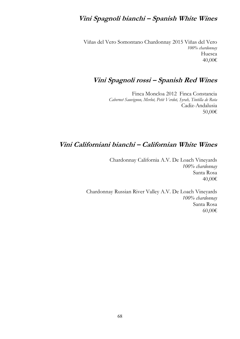# **Vini Spagnoli bianchi – Spanish White Wines**

Viñas del Vero Somontano Chardonnay 2015 Viñas del Vero *100% chardonnay* Huesca 40,00€

# **Vini Spagnoli rossi – Spanish Red Wines**

Finca Moncloa 2012 Finca Constancia *Cabernet Sauvignon, Merlot, Petit Verdot, Syrah, Tintilla de Rota* Cadiz-Andalusia 50,00€

# **Vini Californiani bianchi – Californian White Wines**

Chardonnay California A.V. De Loach Vineyards *100% chardonnay* Santa Rosa 40,00€

Chardonnay Russian River Valley A.V. De Loach Vineyards *100% chardonnay* Santa Rosa 60,00€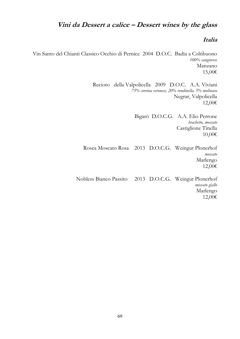# **Vini da Dessert a calice – Dessert wines by the glass**

#### **Italia**

Vin Santo del Chianti Classico Occhio di Pernice 2004 D.O.C. Badia a Coltibuono *100% sangiovese* Manzano 15,00€

> Recioto della Valpolicella 2009 D.O.C. A.A. Viviani *75% corvina veronese, 20% rondinella, 5% molinara* Negrar, Valpolicella 12,00€

> > Bigarò D.O.C.G. A.A. Elio Perrone *brachetto, moscato* Castiglione Tinella 10,00€

Rosea Moscato Rosa 2013 D.O.C.G. Weingut Plonerhof *moscato* Marlengo 12,00€

Nobless Bianco Passito 2013 D.O.C.G. Weingut Plonerhof *moscato giallo* Marlengo 12,00€